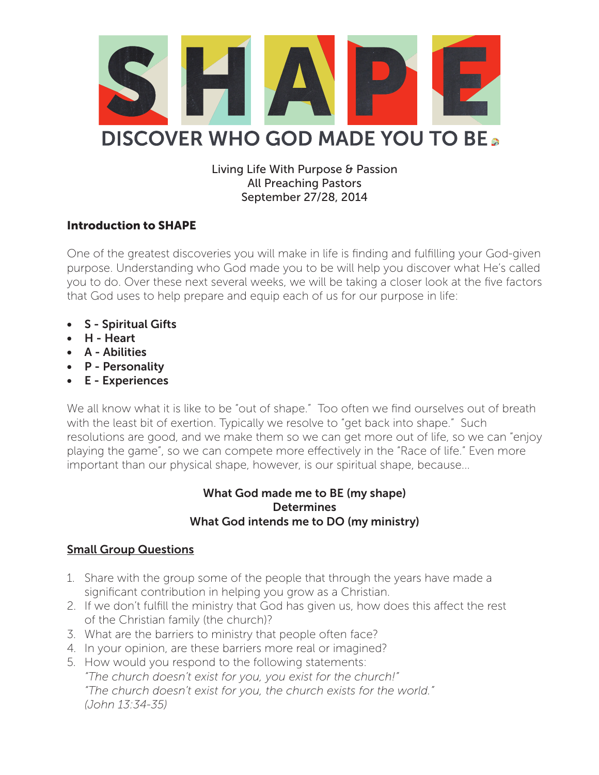

## Living Life With Purpose & Passion All Preaching Pastors September 27/28, 2014

## Introduction to SHAPE

One of the greatest discoveries you will make in life is finding and fulfilling your God-given purpose. Understanding who God made you to be will help you discover what He's called you to do. Over these next several weeks, we will be taking a closer look at the five factors that God uses to help prepare and equip each of us for our purpose in life:

- S Spiritual Gifts
- H Heart
- A Abilities
- P Personality
- E Experiences

We all know what it is like to be "out of shape." Too often we find ourselves out of breath with the least bit of exertion. Typically we resolve to "get back into shape." Such resolutions are good, and we make them so we can get more out of life, so we can "enjoy playing the game", so we can compete more effectively in the "Race of life." Even more important than our physical shape, however, is our spiritual shape, because...

## What God made me to BE (my shape) **Determines** What God intends me to DO (my ministry)

## Small Group Questions

- 1. Share with the group some of the people that through the years have made a significant contribution in helping you grow as a Christian.
- 2. If we don't fulfill the ministry that God has given us, how does this affect the rest of the Christian family (the church)?
- 3. What are the barriers to ministry that people often face?
- 4. In your opinion, are these barriers more real or imagined?
- 5. How would you respond to the following statements: *"The church doesn't exist for you, you exist for the church!" "The church doesn't exist for you, the church exists for the world." (John 13:34-35)*